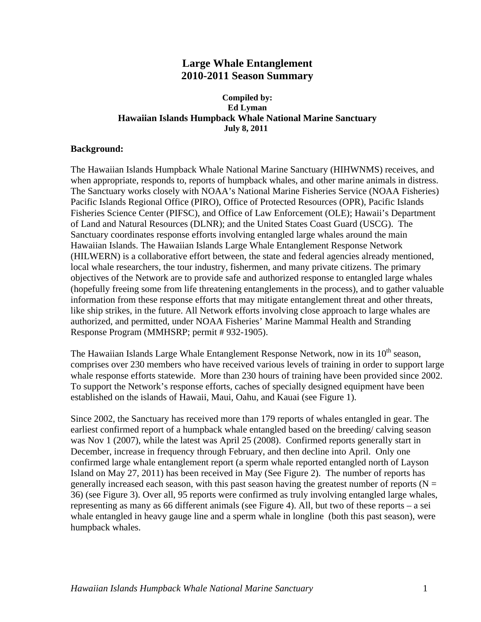# **Large Whale Entanglement 2010-2011 Season Summary**

#### **Ed Lyman Compiled by: Hawaiian Islands Humpback Whale National Marine Sanctuary July 8, 2011**

#### **Background:**

 information from these response efforts that may mitigate entanglement threat and other threats, The Hawaiian Islands Humpback Whale National Marine Sanctuary (HIHWNMS) receives, and when appropriate, responds to, reports of humpback whales, and other marine animals in distress. The Sanctuary works closely with NOAA's National Marine Fisheries Service (NOAA Fisheries) Pacific Islands Regional Office (PIRO), Office of Protected Resources (OPR), Pacific Islands Fisheries Science Center (PIFSC), and Office of Law Enforcement (OLE); Hawaii's Department of Land and Natural Resources (DLNR); and the United States Coast Guard (USCG). The Sanctuary coordinates response efforts involving entangled large whales around the main Hawaiian Islands. The Hawaiian Islands Large Whale Entanglement Response Network (HILWERN) is a collaborative effort between, the state and federal agencies already mentioned, local whale researchers, the tour industry, fishermen, and many private citizens. The primary objectives of the Network are to provide safe and authorized response to entangled large whales (hopefully freeing some from life threatening entanglements in the process), and to gather valuable like ship strikes, in the future. All Network efforts involving close approach to large whales are authorized, and permitted, under NOAA Fisheries' Marine Mammal Health and Stranding Response Program (MMHSRP; permit # 932-1905).

The Hawaiian Islands Large Whale Entanglement Response Network, now in its  $10<sup>th</sup>$  season, comprises over 230 members who have received various levels of training in order to support large whale response efforts statewide. More than 230 hours of training have been provided since 2002. To support the Network's response efforts, caches of specially designed equipment have been established on the islands of Hawaii, Maui, Oahu, and Kauai (see Figure 1).

 representing as many as 66 different animals (see Figure 4). All, but two of these reports – a sei whale entangled in heavy gauge line and a sperm whale in longline (both this past season), were Since 2002, the Sanctuary has received more than 179 reports of whales entangled in gear. The earliest confirmed report of a humpback whale entangled based on the breeding/ calving season was Nov 1 (2007), while the latest was April 25 (2008). Confirmed reports generally start in December, increase in frequency through February, and then decline into April. Only one confirmed large whale entanglement report (a sperm whale reported entangled north of Layson Island on May 27, 2011) has been received in May (See Figure 2). The number of reports has generally increased each season, with this past season having the greatest number of reports ( $N =$ 36) (see Figure 3). Over all, 95 reports were confirmed as truly involving entangled large whales, humpback whales.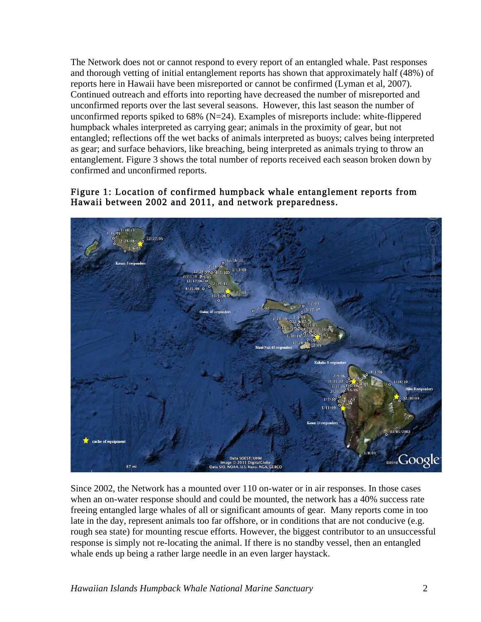The Network does not or cannot respond to every report of an entangled whale. Past responses and thorough vetting of initial entanglement reports has shown that approximately half (48%) of reports here in Hawaii have been misreported or cannot be confirmed (Lyman et al, 2007). Continued outreach and efforts into reporting have decreased the number of misreported and unconfirmed reports over the last several seasons. However, this last season the number of unconfirmed reports spiked to  $68\%$  (N=24). Examples of misreports include: white-flippered humpback whales interpreted as carrying gear; animals in the proximity of gear, but not entangled; reflections off the wet backs of animals interpreted as buoys; calves being interpreted as gear; and surface behaviors, like breaching, being interpreted as animals trying to throw an entanglement. Figure 3 shows the total number of reports received each season broken down by confirmed and unconfirmed reports.

### Figure 1: Location of confirmed humpback whale entanglement reports from Hawaii between 2002 and 2011, and network preparedness.



 freeing entangled large whales of all or significant amounts of gear. Many reports come in too Since 2002, the Network has a mounted over 110 on-water or in air responses. In those cases when an on-water response should and could be mounted, the network has a 40% success rate late in the day, represent animals too far offshore, or in conditions that are not conducive (e.g. rough sea state) for mounting rescue efforts. However, the biggest contributor to an unsuccessful response is simply not re-locating the animal. If there is no standby vessel, then an entangled whale ends up being a rather large needle in an even larger haystack.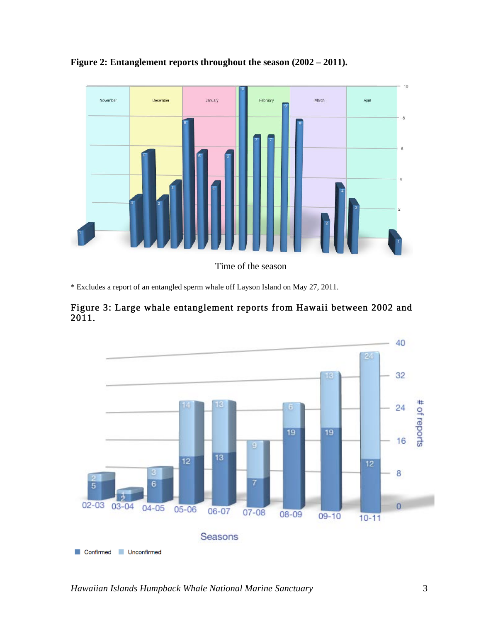

**Figure 2: Entanglement reports throughout the season (2002 – 2011).** 

Time of the season

\* Excludes a report of an entangled sperm whale off Layson Island on May 27, 2011.



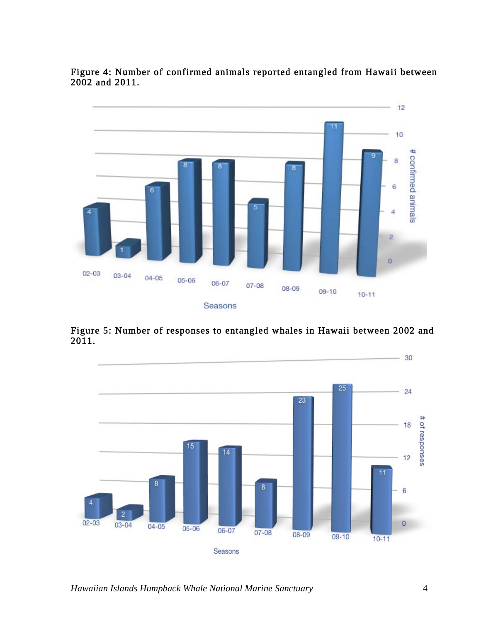Figure 4: Number of confirmed animals reported entangled from Hawaii between 2002 and 2011.



Figure 5: Number of responses to entangled whales in Hawaii between 2002 and 2011.



*Hawaiian Islands Humpback Whale National Marine Sanctuary* 4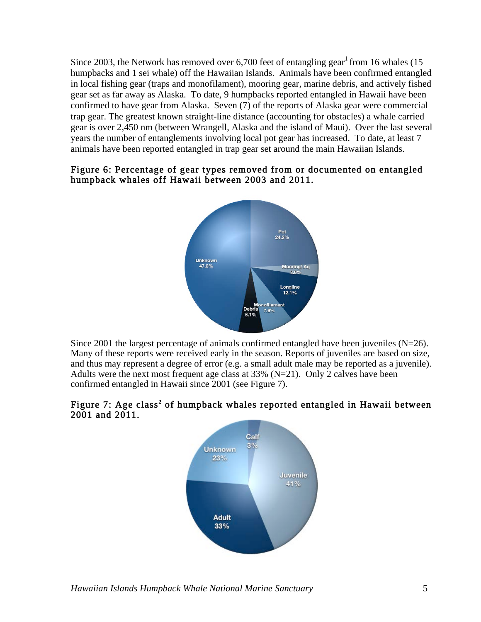years the number of entanglements involving local pot gear has increased. To date, at least 7 Since 2003, the Network has removed over 6,700 feet of entangling gear<sup>1</sup> from 16 whales (15) humpbacks and 1 sei whale) off the Hawaiian Islands. Animals have been confirmed entangled in local fishing gear (traps and monofilament), mooring gear, marine debris, and actively fished gear set as far away as Alaska. To date, 9 humpbacks reported entangled in Hawaii have been confirmed to have gear from Alaska. Seven (7) of the reports of Alaska gear were commercial trap gear. The greatest known straight-line distance (accounting for obstacles) a whale carried gear is over 2,450 nm (between Wrangell, Alaska and the island of Maui). Over the last several animals have been reported entangled in trap gear set around the main Hawaiian Islands.

### Figure 6: Percentage of gear types removed from or documented on entangled humpback whales off Hawaii between 2003 and 2011.



Since 2001 the largest percentage of animals confirmed entangled have been juveniles  $(N=26)$ . Many of these reports were received early in the season. Reports of juveniles are based on size, and thus may represent a degree of error (e.g. a small adult male may be reported as a juvenile). Adults were the next most frequent age class at 33% (N=21). Only 2 calves have been confirmed entangled in Hawaii since 2001 (see Figure 7).

# Figure 7: Age class<sup>2</sup> of humpback whales reported entangled in Hawaii between 2001 and 2011.

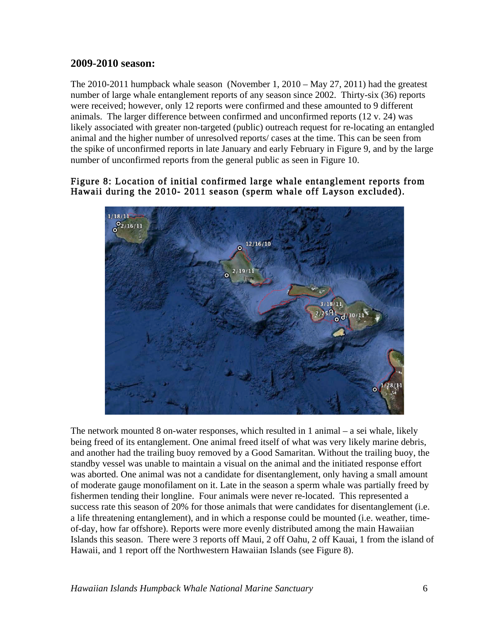## **2009-2010 season:**

The 2010-2011 humpback whale season (November 1, 2010 – May 27, 2011) had the greatest number of large whale entanglement reports of any season since 2002. Thirty-six (36) reports were received; however, only 12 reports were confirmed and these amounted to 9 different animals. The larger difference between confirmed and unconfirmed reports (12 v. 24) was likely associated with greater non-targeted (public) outreach request for re-locating an entangled animal and the higher number of unresolved reports/ cases at the time. This can be seen from the spike of unconfirmed reports in late January and early February in Figure 9, and by the large number of unconfirmed reports from the general public as seen in Figure 10.

### Figure 8: Location of initial confirmed large whale entanglement reports from Hawaii during the 2010- 2011 season (sperm whale off Layson excluded).



The network mounted 8 on-water responses, which resulted in 1 animal – a sei whale, likely being freed of its entanglement. One animal freed itself of what was very likely marine debris, and another had the trailing buoy removed by a Good Samaritan. Without the trailing buoy, the standby vessel was unable to maintain a visual on the animal and the initiated response effort was aborted. One animal was not a candidate for disentanglement, only having a small amount of moderate gauge monofilament on it. Late in the season a sperm whale was partially freed by fishermen tending their longline. Four animals were never re-located. This represented a success rate this season of 20% for those animals that were candidates for disentanglement (i.e. a life threatening entanglement), and in which a response could be mounted (i.e. weather, timeof-day, how far offshore). Reports were more evenly distributed among the main Hawaiian Islands this season. There were 3 reports off Maui, 2 off Oahu, 2 off Kauai, 1 from the island of Hawaii, and 1 report off the Northwestern Hawaiian Islands (see Figure 8).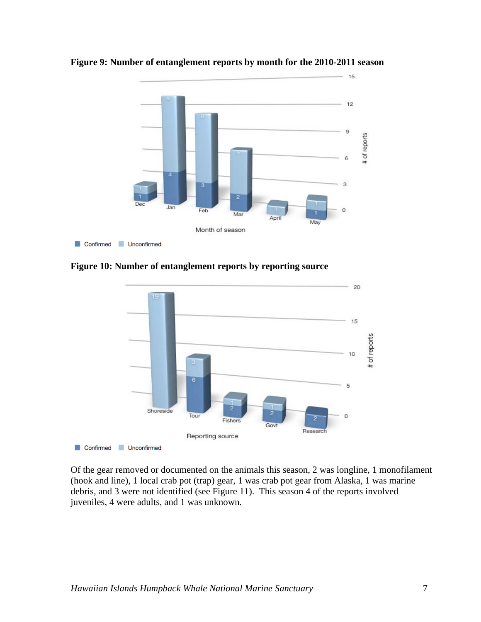

**Figure 9: Number of entanglement reports by month for the 2010-2011 season** 

**Figure 10: Number of entanglement reports by reporting source** 



Of the gear removed or documented on the animals this season, 2 was longline, 1 monofilament (hook and line), 1 local crab pot (trap) gear, 1 was crab pot gear from Alaska, 1 was marine debris, and 3 were not identified (see Figure 11). This season 4 of the reports involved juveniles, 4 were adults, and 1 was unknown.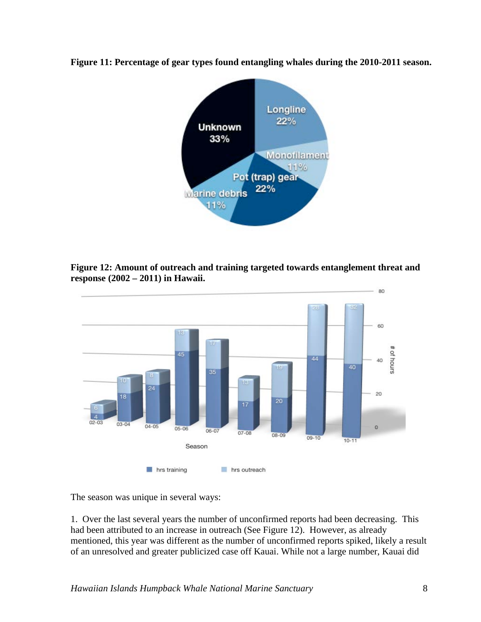

**Figure 11: Percentage of gear types found entangling whales during the 2010-2011 season.** 

**Figure 12: Amount of outreach and training targeted towards entanglement threat and response (2002 – 2011) in Hawaii.** 



The season was unique in several ways:

1. Over the last several years the number of unconfirmed reports had been decreasing. This had been attributed to an increase in outreach (See Figure 12). However, as already mentioned, this year was different as the number of unconfirmed reports spiked, likely a result of an unresolved and greater publicized case off Kauai. While not a large number, Kauai did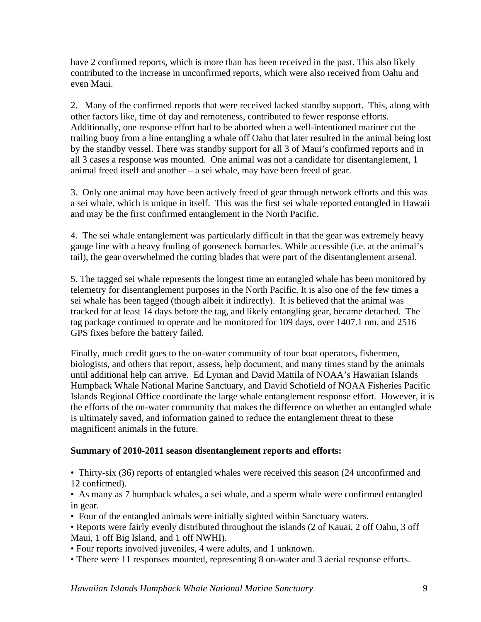have 2 confirmed reports, which is more than has been received in the past. This also likely contributed to the increase in unconfirmed reports, which were also received from Oahu and even Maui.

2. Many of the confirmed reports that were received lacked standby support. This, along with other factors like, time of day and remoteness, contributed to fewer response efforts. Additionally, one response effort had to be aborted when a well-intentioned mariner cut the trailing buoy from a line entangling a whale off Oahu that later resulted in the animal being lost by the standby vessel. There was standby support for all 3 of Maui's confirmed reports and in all 3 cases a response was mounted. One animal was not a candidate for disentanglement, 1 animal freed itself and another – a sei whale, may have been freed of gear.

3. Only one animal may have been actively freed of gear through network efforts and this was a sei whale, which is unique in itself. This was the first sei whale reported entangled in Hawaii and may be the first confirmed entanglement in the North Pacific.

4. The sei whale entanglement was particularly difficult in that the gear was extremely heavy gauge line with a heavy fouling of gooseneck barnacles. While accessible (i.e. at the animal's tail), the gear overwhelmed the cutting blades that were part of the disentanglement arsenal.

5. The tagged sei whale represents the longest time an entangled whale has been monitored by telemetry for disentanglement purposes in the North Pacific. It is also one of the few times a sei whale has been tagged (though albeit it indirectly). It is believed that the animal was tracked for at least 14 days before the tag, and likely entangling gear, became detached. The tag package continued to operate and be monitored for 109 days, over 1407.1 nm, and 2516 GPS fixes before the battery failed.

Finally, much credit goes to the on-water community of tour boat operators, fishermen, biologists, and others that report, assess, help document, and many times stand by the animals until additional help can arrive. Ed Lyman and David Mattila of NOAA's Hawaiian Islands Humpback Whale National Marine Sanctuary, and David Schofield of NOAA Fisheries Pacific Islands Regional Office coordinate the large whale entanglement response effort. However, it is the efforts of the on-water community that makes the difference on whether an entangled whale is ultimately saved, and information gained to reduce the entanglement threat to these magnificent animals in the future.

### **Summary of 2010-2011 season disentanglement reports and efforts:**

• Thirty-six (36) reports of entangled whales were received this season (24 unconfirmed and 12 confirmed).

• As many as 7 humpback whales, a sei whale, and a sperm whale were confirmed entangled in gear.

• Four of the entangled animals were initially sighted within Sanctuary waters.

Maui, 1 off Big Island, and 1 off NWHI). • Reports were fairly evenly distributed throughout the islands (2 of Kauai, 2 off Oahu, 3 off

• Four reports involved juveniles, 4 were adults, and 1 unknown.

• There were 11 responses mounted, representing 8 on-water and 3 aerial response efforts.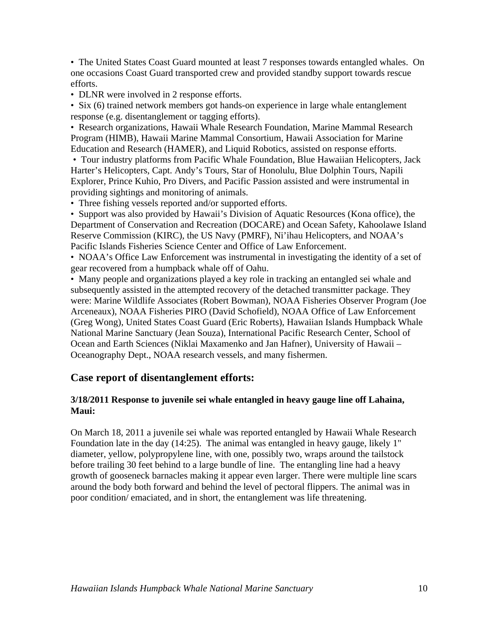• The United States Coast Guard mounted at least 7 responses towards entangled whales. On one occasions Coast Guard transported crew and provided standby support towards rescue efforts.

• DLNR were involved in 2 response efforts.

• Six (6) trained network members got hands-on experience in large whale entanglement response (e.g. disentanglement or tagging efforts).

• Research organizations, Hawaii Whale Research Foundation, Marine Mammal Research Program (HIMB), Hawaii Marine Mammal Consortium, Hawaii Association for Marine Education and Research (HAMER), and Liquid Robotics, assisted on response efforts.

 • Tour industry platforms from Pacific Whale Foundation, Blue Hawaiian Helicopters, Jack Harter's Helicopters, Capt. Andy's Tours, Star of Honolulu, Blue Dolphin Tours, Napili Explorer, Prince Kuhio, Pro Divers, and Pacific Passion assisted and were instrumental in providing sightings and monitoring of animals.

• Three fishing vessels reported and/or supported efforts.

• Support was also provided by Hawaii's Division of Aquatic Resources (Kona office), the Department of Conservation and Recreation (DOCARE) and Ocean Safety, Kahoolawe Island Reserve Commission (KIRC), the US Navy (PMRF), Ni'ihau Helicopters, and NOAA's Pacific Islands Fisheries Science Center and Office of Law Enforcement.

• NOAA's Office Law Enforcement was instrumental in investigating the identity of a set of gear recovered from a humpback whale off of Oahu.

 Ocean and Earth Sciences (Niklai Maxamenko and Jan Hafner), University of Hawaii – • Many people and organizations played a key role in tracking an entangled sei whale and subsequently assisted in the attempted recovery of the detached transmitter package. They were: Marine Wildlife Associates (Robert Bowman), NOAA Fisheries Observer Program (Joe Arceneaux), NOAA Fisheries PIRO (David Schofield), NOAA Office of Law Enforcement (Greg Wong), United States Coast Guard (Eric Roberts), Hawaiian Islands Humpback Whale National Marine Sanctuary (Jean Souza), International Pacific Research Center, School of Oceanography Dept., NOAA research vessels, and many fishermen.

# **Case report of disentanglement efforts:**

### **3/18/2011 Response to juvenile sei whale entangled in heavy gauge line off Lahaina, Maui:**

On March 18, 2011 a juvenile sei whale was reported entangled by Hawaii Whale Research Foundation late in the day (14:25). The animal was entangled in heavy gauge, likely 1" diameter, yellow, polypropylene line, with one, possibly two, wraps around the tailstock before trailing 30 feet behind to a large bundle of line. The entangling line had a heavy growth of gooseneck barnacles making it appear even larger. There were multiple line scars around the body both forward and behind the level of pectoral flippers. The animal was in poor condition/ emaciated, and in short, the entanglement was life threatening.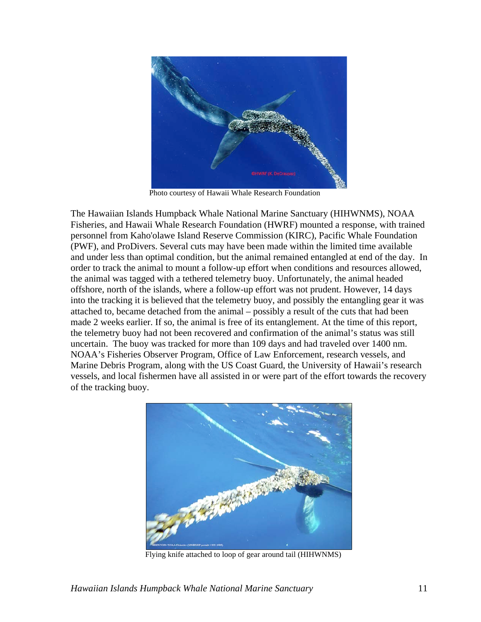

Photo courtesy of Hawaii Whale Research Foundation

The Hawaiian Islands Humpback Whale National Marine Sanctuary (HIHWNMS), NOAA Fisheries, and Hawaii Whale Research Foundation (HWRF) mounted a response, with trained personnel from Kaho'olawe Island Reserve Commission (KIRC), Pacific Whale Foundation (PWF), and ProDivers. Several cuts may have been made within the limited time available and under less than optimal condition, but the animal remained entangled at end of the day. In order to track the animal to mount a follow-up effort when conditions and resources allowed, the animal was tagged with a tethered telemetry buoy. Unfortunately, the animal headed offshore, north of the islands, where a follow-up effort was not prudent. However, 14 days into the tracking it is believed that the telemetry buoy, and possibly the entangling gear it was attached to, became detached from the animal – possibly a result of the cuts that had been made 2 weeks earlier. If so, the animal is free of its entanglement. At the time of this report, the telemetry buoy had not been recovered and confirmation of the animal's status was still uncertain. The buoy was tracked for more than 109 days and had traveled over 1400 nm. NOAA's Fisheries Observer Program, Office of Law Enforcement, research vessels, and Marine Debris Program, along with the US Coast Guard, the University of Hawaii's research vessels, and local fishermen have all assisted in or were part of the effort towards the recovery of the tracking buoy.



Flying knife attached to loop of gear around tail (HIHWNMS)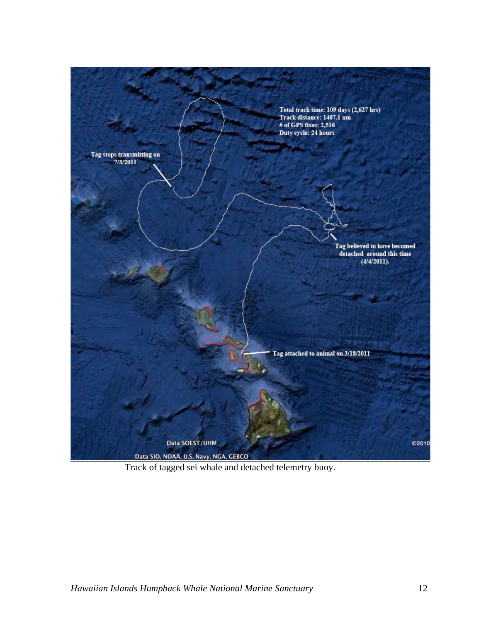

Track of tagged sei whale and detached telemetry buoy.